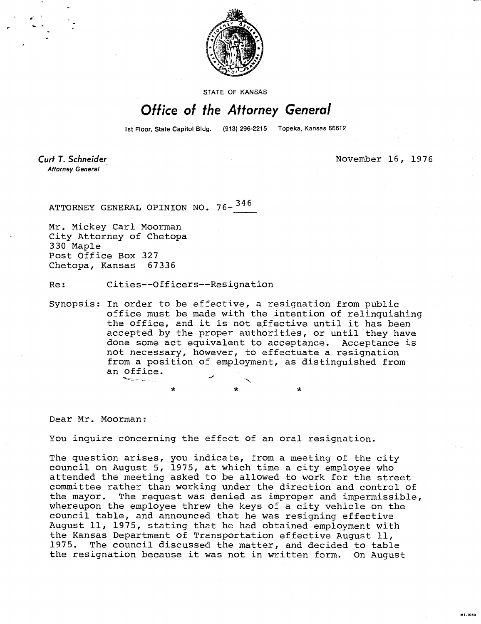

STATE OF KANSAS

## Office of the Attorney General

1st Floor, State Capitol Bldg. (913) 296-2215 Topeka, Kansas 66612

Curt T. Schneider **Attorney General** 

November 16, 1976

MI-1043

ATTORNEY GENERAL OPINION NO. 76-<sup>346</sup>

Mr. Mickey Carl Moorman City Attorney of Chetopa 330 Maple Post Office Box 327<br>Chetopa, Kansas 67336 Chetopa, Kansas

Re: Cities--Officers--Resignation

Synopsis: In order to be effective, a resignation from public office must be made with the intention of relinquishing the office, and it is not effective until it has been accepted by the proper authorities, or until they have done some act equivalent to acceptance. Acceptance is not necessary, however, to effectuate a resignation from a position of employment, as distinguished from an office.

Dear Mr. Moorman:

You inquire concerning the effect of an oral resignation.

The question arises, you indicate, from a meeting of the city council on August 5, 1975, at which time a city employee who attended the meeting asked to be allowed to work for the street committee rather than working under the direction and control of the mayor. The request was denied as improper and impermissible, whereupon the employee threw the keys of a city vehicle on the council table, and announced that he was resigning effective August 11, 1975, stating that he had obtained employment with the Kansas Department of Transportation effective August 11, 1975. The council discussed the matter, and decided to table the resignation because it was not in written form. On August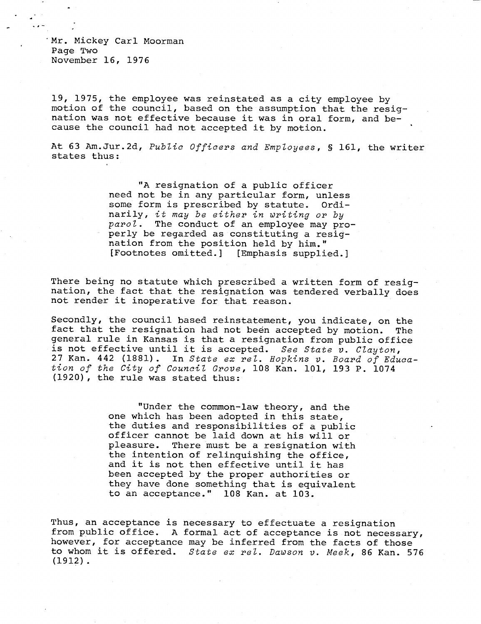Mr. Mickey Carl Moorman Page Two November 16, 1976

19, 1975, the employee was reinstated as a city employee by motion of the council, based on the assumption that the resignation was not effective because it was in oral form, and because the council had not accepted it by motion.

At 63 Am.Jur.2d, Public Officers and Employees, § 161, the writer states thus:

> "A resignation of a public officer need not be in any particular form, unless some form is prescribed by statute. Ordinarily, it may be either in writing or by parol. The conduct of an employee may properly be regarded as constituting a resignation from the position held by him."<br>[Footnotes omitted.] [Emphasis supplic [Emphasis supplied.]

There being no statute which prescribed a written form of resignation, the fact that the resignation was tendered verbally does not render it inoperative for that reason.

Secondly, the council based reinstatement, you indicate, on the fact that the resignation had not been accepted by motion. The general rule in Kansas is that a resignation from public office is not effective until it is accepted. See State v. Clayton, 27 Kan. 442 (1881). In State ex rel. Hopkins v. Board of Education of the City of Council Grove, 108 Kan. 101, 193 P. 1074 (1920), the rule was stated thus:

> "Under the common-law theory, and the one which has been adopted in this state, the duties and responsibilities of a public officer cannot be laid down at his will or pleasure. There must be a resignation with the intention of relinquishing the office, and it is not then effective until it has been accepted by the proper authorities or they have done something that is equivalent to an acceptance." 108 Kan. at 103.

Thus, an acceptance is necessary to effectuate a resignation from public office. A formal act of acceptance is not necessary, however, for acceptance may be inferred from the facts of those to whom it is offered. State ex rel. Dawson v. Meek, 86 Kan. 576 (1912).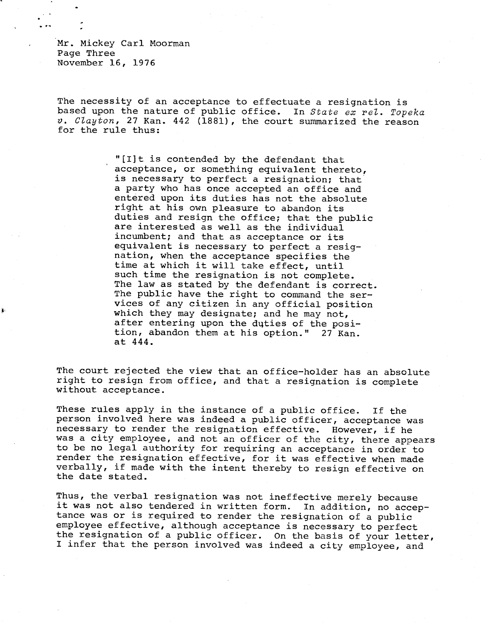Mr. Mickey Carl Moorman Page Three November 16, 1976

The necessity of an acceptance to effectuate a resignation is based upon the nature of public office. In *State ex rel. Topeka*  v. *Clayton,* 27 Kan. 442 (1881), the court summarized the reason for the rule thus:

> "[lit is contended by the defendant that acceptance, or something equivalent thereto, is necessary to perfect a resignation; that a party who has once accepted an office and entered upon its duties has not the absolute right at his own pleasure to abandon its duties and resign the office; that the public are interested as well as the individual incumbent; and that as acceptance or its equivalent is necessary to perfect a resignation, when the acceptance specifies the time at which it will take effect, until such time the resignation is not complete. The law as stated by the defendant is correct. The public have the right to command the services of any citizen in any official position which they may designate; and he may not, after entering upon the duties of the position, abandon them at his option." 27 Kan. at 444.

The court rejected the view that an office-holder has an absolute right to resign from office, and that a resignation is complete without acceptance.

These rules apply in the instance of a public office. If the person involved here was indeed a public officer, acceptance was necessary to render the resignation effective. However, if he was a city employee, and not an officer of the city, there appears to be no legal authority for requiring an acceptance in order to render the resignation effective, for it was effective when made verbally, if made with the intent thereby to resign effective on the date stated.

Thus, the verbal resignation was not ineffective merely because it was not also tendered in written form. In addition, no acceptance was or is required to render the resignation of a public employee effective, although acceptance is necessary to perfect the resignation of a public officer. On the basis of your letter, I infer that the person involved was indeed a city employee, and